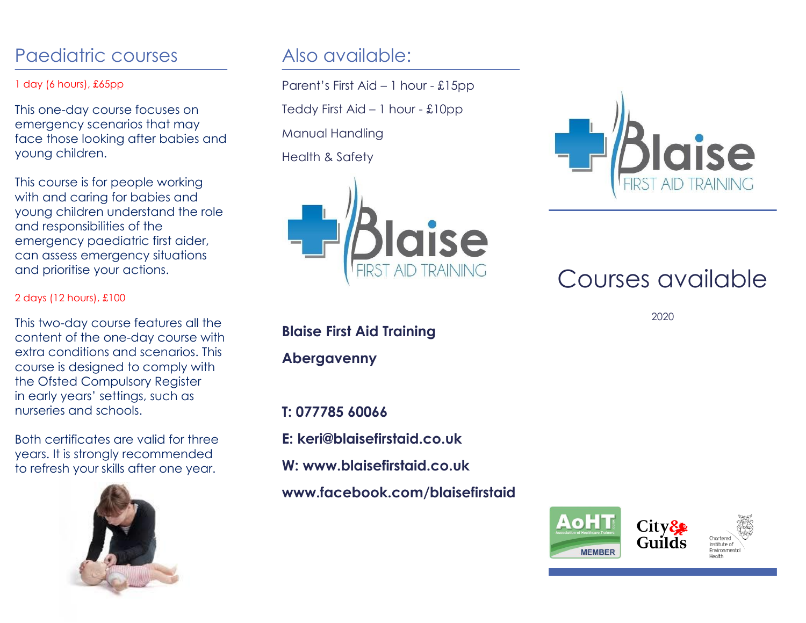## Paediatric courses

### 1 day (6 hours), £65pp

This one-day course focuses on emergency scenarios that may face those looking after babies and young children.

This course is for people working with and caring for babies and young children understand the role and responsibilities of the emergency paediatric first aider, can assess emergency situations and prioritise your actions.

#### 2 days (12 hours), £100

This two-day course features all the content of the one-day course with extra conditions and scenarios. This course is designed to comply with the Ofsted Compulsory Register in early years' settings, such as nurseries and schools.

Both certificates are valid for three years. It is strongly recommended to refresh your skills after one year.



### Also available:

Parent's First Aid – 1 hour - £15pp

Teddy First Aid – 1 hour - £10pp

Manual Handling

Health & Safety



**Blaise First Aid Training**

**Abergavenny**

**T: 077785 60066 E: keri@blaisefirstaid.co.uk W: www.blaisefirstaid.co.uk** 

**www.facebook.com/blaisefirstaid**



# Courses available

2020